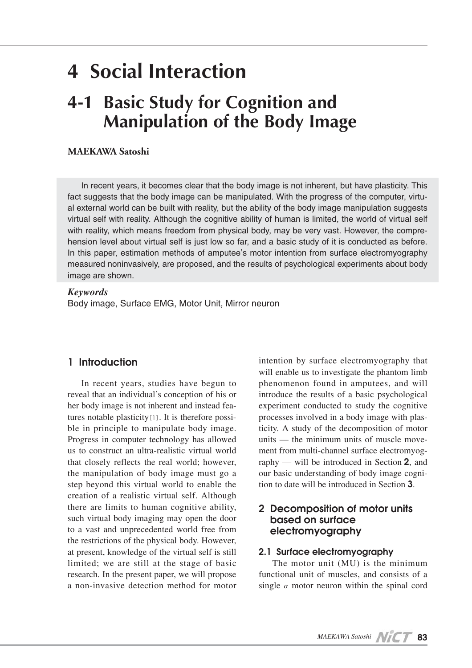# **4 Social Interaction**

## **4-1 Basic Study for Cognition and Manipulation of the Body Image**

## **MAEKAWA Satoshi**

In recent years, it becomes clear that the body image is not inherent, but have plasticity. This fact suggests that the body image can be manipulated. With the progress of the computer, virtual external world can be built with reality, but the ability of the body image manipulation suggests virtual self with reality. Although the cognitive ability of human is limited, the world of virtual self with reality, which means freedom from physical body, may be very vast. However, the comprehension level about virtual self is just low so far, and a basic study of it is conducted as before. In this paper, estimation methods of amputee's motor intention from surface electromyography measured noninvasively, are proposed, and the results of psychological experiments about body image are shown.

#### *Keywords*

Body image, Surface EMG, Motor Unit, Mirror neuron

## **1 Introduction**

In recent years, studies have begun to reveal that an individual's conception of his or her body image is not inherent and instead features notable plasticity[1]. It is therefore possible in principle to manipulate body image. Progress in computer technology has allowed us to construct an ultra-realistic virtual world that closely reflects the real world; however, the manipulation of body image must go a step beyond this virtual world to enable the creation of a realistic virtual self. Although there are limits to human cognitive ability, such virtual body imaging may open the door to a vast and unprecedented world free from the restrictions of the physical body. However, at present, knowledge of the virtual self is still limited; we are still at the stage of basic research. In the present paper, we will propose a non-invasive detection method for motor

intention by surface electromyography that will enable us to investigate the phantom limb phenomenon found in amputees, and will introduce the results of a basic psychological experiment conducted to study the cognitive processes involved in a body image with plasticity. A study of the decomposition of motor units — the minimum units of muscle movement from multi-channel surface electromyography — will be introduced in Section **2**, and our basic understanding of body image cognition to date will be introduced in Section **3**.

## **2 Decomposition of motor units based on surface electromyography**

#### **2.1 Surface electromyography**

The motor unit (MU) is the minimum functional unit of muscles, and consists of a single**α**motor neuron within the spinal cord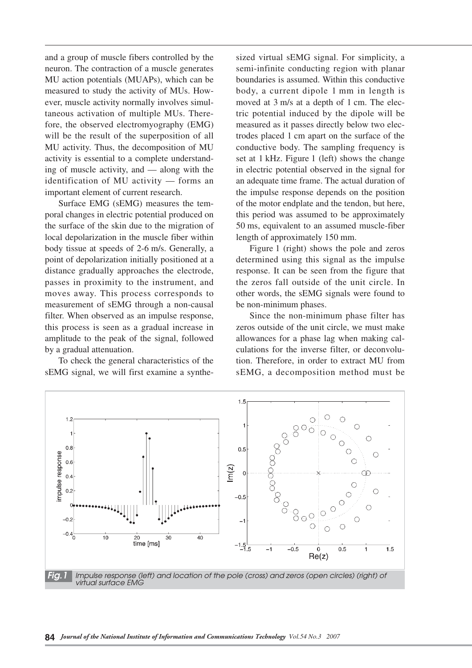and a group of muscle fibers controlled by the neuron. The contraction of a muscle generates MU action potentials (MUAPs), which can be measured to study the activity of MUs. However, muscle activity normally involves simultaneous activation of multiple MUs. Therefore, the observed electromyography (EMG) will be the result of the superposition of all MU activity. Thus, the decomposition of MU activity is essential to a complete understanding of muscle activity, and — along with the identification of MU activity — forms an important element of current research.

Surface EMG (sEMG) measures the temporal changes in electric potential produced on the surface of the skin due to the migration of local depolarization in the muscle fiber within body tissue at speeds of 2-6 m/s. Generally, a point of depolarization initially positioned at a distance gradually approaches the electrode, passes in proximity to the instrument, and moves away. This process corresponds to measurement of sEMG through a non-causal filter. When observed as an impulse response, this process is seen as a gradual increase in amplitude to the peak of the signal, followed by a gradual attenuation.

To check the general characteristics of the sEMG signal, we will first examine a synthesized virtual sEMG signal. For simplicity, a semi-infinite conducting region with planar boundaries is assumed. Within this conductive body, a current dipole 1 mm in length is moved at 3 m/s at a depth of 1 cm. The electric potential induced by the dipole will be measured as it passes directly below two electrodes placed 1 cm apart on the surface of the conductive body. The sampling frequency is set at 1 kHz. Figure 1 (left) shows the change in electric potential observed in the signal for an adequate time frame. The actual duration of the impulse response depends on the position of the motor endplate and the tendon, but here, this period was assumed to be approximately 50 ms, equivalent to an assumed muscle-fiber length of approximately 150 mm.

Figure 1 (right) shows the pole and zeros determined using this signal as the impulse response. It can be seen from the figure that the zeros fall outside of the unit circle. In other words, the sEMG signals were found to be non-minimum phases.

Since the non-minimum phase filter has zeros outside of the unit circle, we must make allowances for a phase lag when making calculations for the inverse filter, or deconvolution. Therefore, in order to extract MU from sEMG, a decomposition method must be

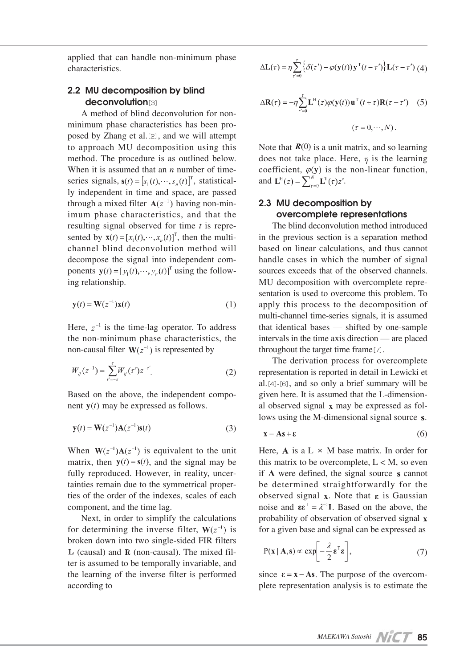applied that can handle non-minimum phase characteristics.

## **2.2 MU decomposition by blind deconvolution**[3]

A method of blind deconvolution for nonminimum phase characteristics has been proposed by Zhang et al.[2], and we will attempt to approach MU decomposition using this method. The procedure is as outlined below. When it is assumed that an *n* number of timeseries signals,  $\mathbf{s}(t) = [s_1(t), \dots, s_n(t)]^T$ , statistically independent in time and space, are passed through a mixed filter  $A(z^{-1})$  having non-minimum phase characteristics, and that the resulting signal observed for time *t* is represented by  $\mathbf{x}(t) = [x_1(t), \dots, x_n(t)]^T$ , then the multichannel blind deconvolution method will decompose the signal into independent components  $\mathbf{y}(t) = [y_1(t), \dots, y_n(t)]^T$  using the following relationship.

$$
\mathbf{y}(t) = \mathbf{W}(z^{-1})\mathbf{x}(t) \tag{1}
$$

Here,  $z^{-1}$  is the time-lag operator. To address the non-minimum phase characteristics, the non-causal filter  $W(z^{-1})$  is represented by

$$
W_{ij}(z^{-1}) = \sum_{r'=-r}^{r} W_{ij}(r') z^{-r'}.
$$
 (2)

Based on the above, the independent component  $y(t)$  may be expressed as follows.

$$
y(t) = W(z^{-1})A(z^{-1})s(t)
$$
 (3)

When  $W(z^{-1})A(z^{-1})$  is equivalent to the unit matrix, then  $y(t) = s(t)$ , and the signal may be fully reproduced. However, in reality, uncertainties remain due to the symmetrical properties of the order of the indexes, scales of each component, and the time lag.

Next, in order to simplify the calculations for determining the inverse filter,  $W(z^{-1})$  is broken down into two single-sided FIR filters  $L$  (causal) and  $R$  (non-causal). The mixed filter is assumed to be temporally invariable, and the learning of the inverse filter is performed according to

$$
\Delta \mathbf{L}(\tau) = \eta \sum_{\tau'=0}^{\tau} \left\{ \delta(\tau') - \varphi(\mathbf{y}(t)) \mathbf{y}^{\mathrm{T}}(t-\tau') \right\} \mathbf{L}(\tau-\tau') \tag{4}
$$

$$
\Delta \mathbf{R}(\tau) = -\eta \sum_{r'=0}^{\tau} \mathbf{L}^{H}(z) \varphi(\mathbf{y}(t)) \mathbf{u}^{T}(t+\tau) \mathbf{R}(\tau-\tau') \quad (5)
$$

$$
(\tau = 0, \cdots, N).
$$

Note that  $\mathbf{R}(0)$  is a unit matrix, and so learning does not take place. Here,  $\eta$  is the learning coefficient,  $\varphi(y)$  is the non-linear function, and  ${\bf L}^{\rm H}(z) = \sum_{\tau=0}^{N} {\bf L}^{\rm T}(\tau) z^{\tau}$ .

#### **2.3 MU decomposition by overcomplete representations**

The blind deconvolution method introduced in the previous section is a separation method based on linear calculations, and thus cannot handle cases in which the number of signal sources exceeds that of the observed channels. MU decomposition with overcomplete representation is used to overcome this problem. To apply this process to the decomposition of multi-channel time-series signals, it is assumed that identical bases — shifted by one-sample intervals in the time axis direction — are placed throughout the target time frame[7].

The derivation process for overcomplete representation is reported in detail in Lewicki et al. $[4]$  $-[6]$ , and so only a brief summary will be given here. It is assumed that the L-dimensional observed signal  $x$  may be expressed as follows using the M-dimensional signal source s.

$$
\mathbf{x} = \mathbf{A}\mathbf{s} + \mathbf{\varepsilon} \tag{6}
$$

Here, A is a  $L \times M$  base matrix. In order for this matrix to be overcomplete,  $L < M$ , so even if  $A$  were defined, the signal source  $s$  cannot be determined straightforwardly for the observed signal  $x$ . Note that  $\varepsilon$  is Gaussian noise and  $\epsilon \epsilon^T = \lambda^{-1} I$ . Based on the above, the probability of observation of observed signal for a given base and signal can be expressed as

$$
P(\mathbf{x} \mid \mathbf{A}, \mathbf{s}) \propto \exp\left[-\frac{\lambda}{2} \mathbf{\varepsilon}^{\mathrm{T}} \mathbf{\varepsilon}\right],\tag{7}
$$

since  $\epsilon = x - As$ . The purpose of the overcomplete representation analysis is to estimate the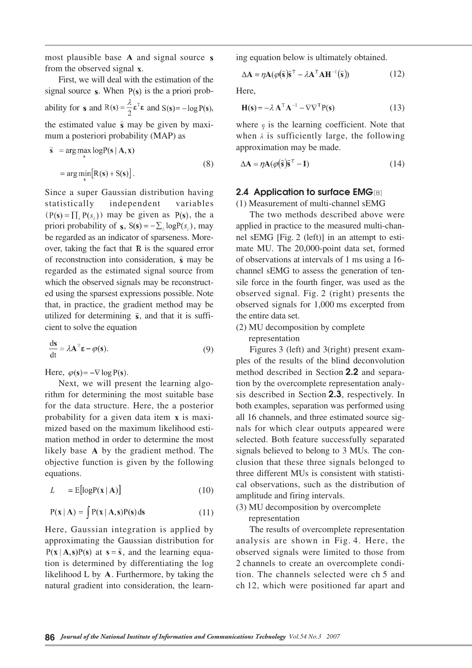most plausible base  $A$  and signal source  $s$ from the observed signal x.

First, we will deal with the estimation of the signal source  $s$ . When  $P(s)$  is the a priori probability for **s** and  $R(s) = \frac{\lambda}{2} \varepsilon^T \varepsilon$  and  $S(s) = -\log P(s)$ , the estimated value  $\hat{s}$  may be given by maximum a posteriori probability (MAP) as

$$
\hat{\mathbf{s}} = \arg \max_{\mathbf{s}} \log P(\mathbf{s} | \mathbf{A}, \mathbf{x})
$$

$$
= \arg \min_{\mathbf{s}} [R(\mathbf{s}) + S(\mathbf{s})]. \tag{8}
$$

Since a super Gaussian distribution having statistically independent variables  $(P(s) = \prod_{i} P(s_i))$  may be given as  $P(s)$ , the a priori probability of  $s$ ,  $S(s) = -\sum_i \log P(s_i)$ , may be regarded as an indicator of sparseness. Moreover, taking the fact that  $R$  is the squared error of reconstruction into consideration,  $\hat{s}$  may be regarded as the estimated signal source from which the observed signals may be reconstructed using the sparsest expressions possible. Note that, in practice, the gradient method may be utilized for determining  $\hat{s}$ , and that it is sufficient to solve the equation

$$
\frac{ds}{dt} = \lambda A^{\top} \varepsilon - \varphi(s). \tag{9}
$$

Here,  $\varphi(s) = -\nabla \log P(s)$ .

Next, we will present the learning algorithm for determining the most suitable base for the data structure. Here, the a posterior probability for a given data item  $x$  is maximized based on the maximum likelihood estimation method in order to determine the most likely base A by the gradient method. The objective function is given by the following equations.

$$
L = E[\log P(\mathbf{x} \mid \mathbf{A})] \tag{10}
$$

$$
P(x | A) = \int P(x | A, s)P(s) ds \qquad (11)
$$

Here, Gaussian integration is applied by approximating the Gaussian distribution for  $P(x | A, s)P(s)$  at  $s = \hat{s}$ , and the learning equation is determined by differentiating the log likelihood  $L$  by  $A$ . Furthermore, by taking the natural gradient into consideration, the learning equation below is ultimately obtained.

$$
\Delta \mathbf{A} = \eta \mathbf{A} (\varphi(\hat{\mathbf{s}})\hat{\mathbf{s}}^{\mathrm{T}} - \lambda \mathbf{A}^{\mathrm{T}} \mathbf{A} \mathbf{H}^{-1}(\hat{\mathbf{s}}))
$$
(12)

Here,

$$
\mathbf{H(s)} = -\lambda \mathbf{A}^{\mathrm{T}} \mathbf{A}^{-1} - \nabla \nabla^{\mathrm{T}} \mathbf{P(s)} \tag{13}
$$

where  $\eta$  is the learning coefficient. Note that when  $\lambda$  is sufficiently large, the following approximation may be made.

$$
\Delta \mathbf{A} = \eta \mathbf{A} (\varphi(\hat{\mathbf{s}})\hat{\mathbf{s}}^{\mathrm{T}} - \mathbf{I}) \tag{14}
$$

#### **2.4 Application to surface EMG**[8]

(1) Measurement of multi-channel sEMG

The two methods described above were applied in practice to the measured multi-channel sEMG [Fig. 2 (left)] in an attempt to estimate MU. The 20,000-point data set, formed of observations at intervals of 1 ms using a 16 channel sEMG to assess the generation of tensile force in the fourth finger, was used as the observed signal. Fig. 2 (right) presents the observed signals for 1,000 ms excerpted from the entire data set.

(2) MU decomposition by complete representation

Figures 3 (left) and 3(right) present examples of the results of the blind deconvolution method described in Section **2.2** and separation by the overcomplete representation analysis described in Section **2.3**, respectively. In both examples, separation was performed using all 16 channels, and three estimated source signals for which clear outputs appeared were selected. Both feature successfully separated signals believed to belong to 3 MUs. The conclusion that these three signals belonged to three different MUs is consistent with statistical observations, such as the distribution of amplitude and firing intervals.

(3) MU decomposition by overcomplete representation

The results of overcomplete representation analysis are shown in Fig. 4. Here, the observed signals were limited to those from 2 channels to create an overcomplete condition. The channels selected were ch 5 and ch 12, which were positioned far apart and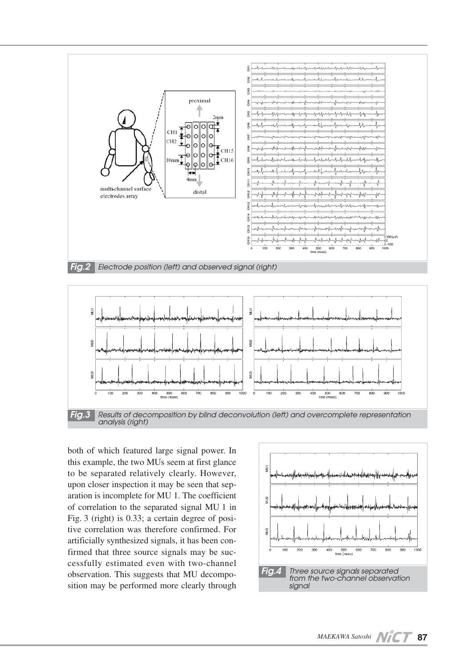



both of which featured large signal power. In this example, the two MUs seem at first glance to be separated relatively clearly. However, upon closer inspection it may be seen that separation is incomplete for MU 1. The coefficient of correlation to the separated signal MU 1 in Fig. 3 (right) is 0.33; a certain degree of positive correlation was therefore confirmed. For artificially synthesized signals, it has been confirmed that three source signals may be successfully estimated even with two-channel observation. This suggests that MU decomposition may be performed more clearly through

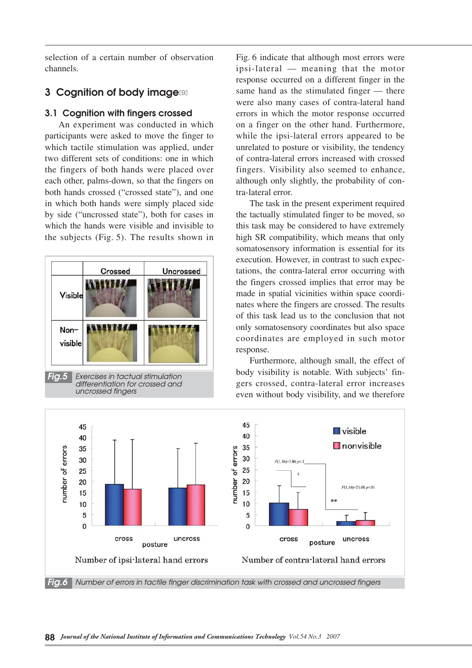selection of a certain number of observation channels.

## **3 Cognition of body image**[9]

#### **3.1 Cognition with fingers crossed**

An experiment was conducted in which participants were asked to move the finger to which tactile stimulation was applied, under two different sets of conditions: one in which the fingers of both hands were placed over each other, palms-down, so that the fingers on both hands crossed ("crossed state"), and one in which both hands were simply placed side by side ("uncrossed state"), both for cases in which the hands were visible and invisible to the subjects (Fig. 5). The results shown in



Fig. 6 indicate that although most errors were ipsi-lateral — meaning that the motor response occurred on a different finger in the same hand as the stimulated finger — there were also many cases of contra-lateral hand errors in which the motor response occurred on a finger on the other hand. Furthermore, while the ipsi-lateral errors appeared to be unrelated to posture or visibility, the tendency of contra-lateral errors increased with crossed fingers. Visibility also seemed to enhance, although only slightly, the probability of contra-lateral error.

The task in the present experiment required the tactually stimulated finger to be moved, so this task may be considered to have extremely high SR compatibility, which means that only somatosensory information is essential for its execution. However, in contrast to such expectations, the contra-lateral error occurring with the fingers crossed implies that error may be made in spatial vicinities within space coordinates where the fingers are crossed. The results of this task lead us to the conclusion that not only somatosensory coordinates but also space coordinates are employed in such motor response.

Furthermore, although small, the effect of body visibility is notable. With subjects' fingers crossed, contra-lateral error increases even without body visibility, and we therefore

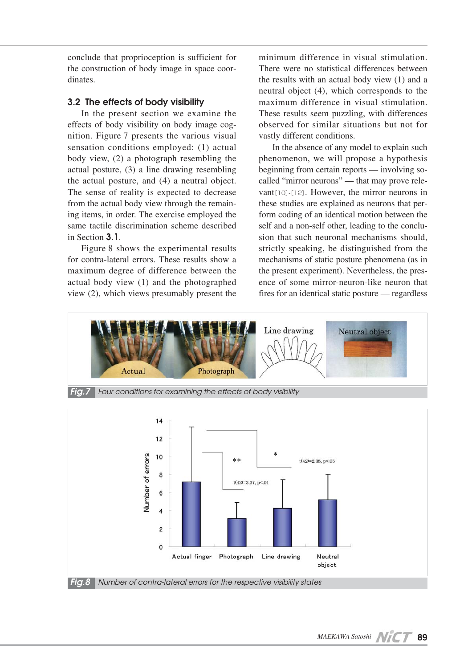conclude that proprioception is sufficient for the construction of body image in space coordinates.

#### **3.2 The effects of body visibility**

In the present section we examine the effects of body visibility on body image cognition. Figure 7 presents the various visual sensation conditions employed: (1) actual body view, (2) a photograph resembling the actual posture, (3) a line drawing resembling the actual posture, and (4) a neutral object. The sense of reality is expected to decrease from the actual body view through the remaining items, in order. The exercise employed the same tactile discrimination scheme described in Section **3.1**.

Figure 8 shows the experimental results for contra-lateral errors. These results show a maximum degree of difference between the actual body view (1) and the photographed view (2), which views presumably present the

minimum difference in visual stimulation. There were no statistical differences between the results with an actual body view (1) and a neutral object (4), which corresponds to the maximum difference in visual stimulation. These results seem puzzling, with differences observed for similar situations but not for vastly different conditions.

In the absence of any model to explain such phenomenon, we will propose a hypothesis beginning from certain reports — involving socalled "mirror neurons" — that may prove relevant[10]-[12]. However, the mirror neurons in these studies are explained as neurons that perform coding of an identical motion between the self and a non-self other, leading to the conclusion that such neuronal mechanisms should, strictly speaking, be distinguished from the mechanisms of static posture phenomena (as in the present experiment). Nevertheless, the presence of some mirror-neuron-like neuron that fires for an identical static posture — regardless



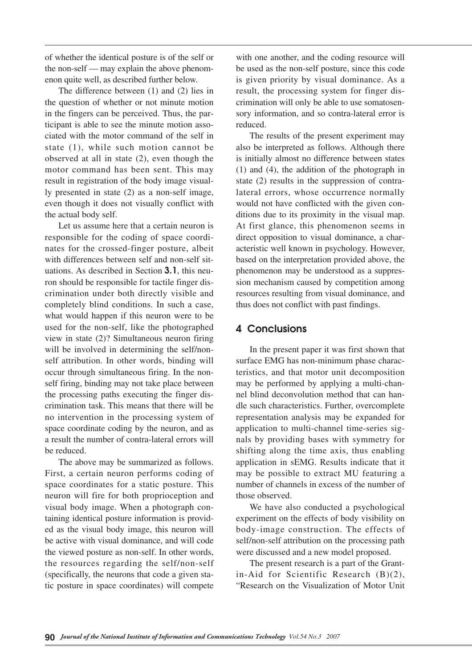of whether the identical posture is of the self or the non-self — may explain the above phenomenon quite well, as described further below.

The difference between (1) and (2) lies in the question of whether or not minute motion in the fingers can be perceived. Thus, the participant is able to see the minute motion associated with the motor command of the self in state (1), while such motion cannot be observed at all in state (2), even though the motor command has been sent. This may result in registration of the body image visually presented in state (2) as a non-self image, even though it does not visually conflict with the actual body self.

Let us assume here that a certain neuron is responsible for the coding of space coordinates for the crossed-finger posture, albeit with differences between self and non-self situations. As described in Section **3.1**, this neuron should be responsible for tactile finger discrimination under both directly visible and completely blind conditions. In such a case, what would happen if this neuron were to be used for the non-self, like the photographed view in state (2)? Simultaneous neuron firing will be involved in determining the self/nonself attribution. In other words, binding will occur through simultaneous firing. In the nonself firing, binding may not take place between the processing paths executing the finger discrimination task. This means that there will be no intervention in the processing system of space coordinate coding by the neuron, and as a result the number of contra-lateral errors will be reduced.

The above may be summarized as follows. First, a certain neuron performs coding of space coordinates for a static posture. This neuron will fire for both proprioception and visual body image. When a photograph containing identical posture information is provided as the visual body image, this neuron will be active with visual dominance, and will code the viewed posture as non-self. In other words, the resources regarding the self/non-self (specifically, the neurons that code a given static posture in space coordinates) will compete

with one another, and the coding resource will be used as the non-self posture, since this code is given priority by visual dominance. As a result, the processing system for finger discrimination will only be able to use somatosensory information, and so contra-lateral error is reduced.

The results of the present experiment may also be interpreted as follows. Although there is initially almost no difference between states (1) and (4), the addition of the photograph in state (2) results in the suppression of contralateral errors, whose occurrence normally would not have conflicted with the given conditions due to its proximity in the visual map. At first glance, this phenomenon seems in direct opposition to visual dominance, a characteristic well known in psychology. However, based on the interpretation provided above, the phenomenon may be understood as a suppression mechanism caused by competition among resources resulting from visual dominance, and thus does not conflict with past findings.

## **4 Conclusions**

In the present paper it was first shown that surface EMG has non-minimum phase characteristics, and that motor unit decomposition may be performed by applying a multi-channel blind deconvolution method that can handle such characteristics. Further, overcomplete representation analysis may be expanded for application to multi-channel time-series signals by providing bases with symmetry for shifting along the time axis, thus enabling application in sEMG. Results indicate that it may be possible to extract MU featuring a number of channels in excess of the number of those observed.

We have also conducted a psychological experiment on the effects of body visibility on body-image construction. The effects of self/non-self attribution on the processing path were discussed and a new model proposed.

The present research is a part of the Grantin-Aid for Scientific Research (B)(2), "Research on the Visualization of Motor Unit